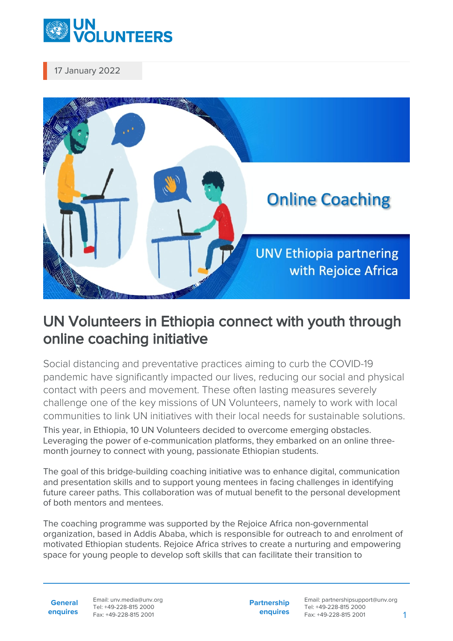

17 January 2022



## UN Volunteers in Ethiopia connect with youth through online coaching initiative

Social distancing and preventative practices aiming to curb the COVID-19 pandemic have significantly impacted our lives, reducing our social and physical contact with peers and movement. These often lasting measures severely challenge one of the key missions of UN Volunteers, namely to work with local communities to link UN initiatives with their local needs for sustainable solutions.

This year, in Ethiopia, 10 UN Volunteers decided to overcome emerging obstacles. Leveraging the power of e-communication platforms, they embarked on an online threemonth journey to connect with young, passionate Ethiopian students.

The goal of this bridge-building coaching initiative was to enhance digital, communication and presentation skills and to support young mentees in facing challenges in identifying future career paths. This collaboration was of mutual benefit to the personal development of both mentors and mentees.

The coaching programme was supported by the Rejoice Africa non-governmental organization, based in Addis Ababa, which is responsible for outreach to and enrolment of motivated Ethiopian students. Rejoice Africa strives to create a nurturing and empowering space for young people to develop soft skills that can facilitate their transition to

**General enquires** Email: unv.media@unv.org Tel: +49-228-815 2000 Fax: +49-228-815 2001

**Partnership enquires** Email: partnershipsupport@unv.org Tel: +49-228-815 2000 Fax: +49-228-815 2001 1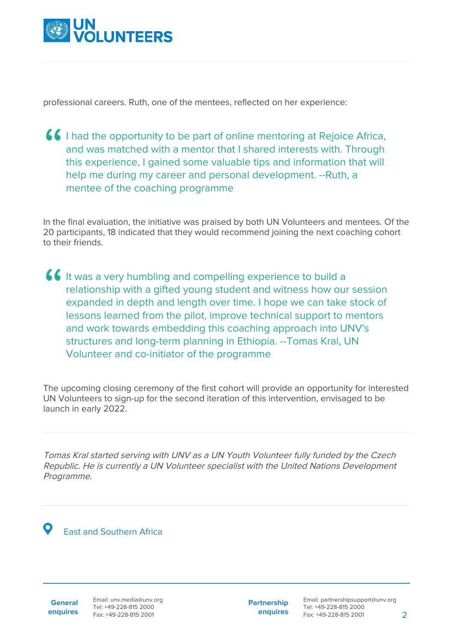

professional careers. Ruth, one of the mentees, reflected on her experience:

I had the opportunity to be part of online mentoring at Rejoice Africa, and was matched with a mentor that I shared interests with. Through this experience, I gained some valuable tips and information that will help me during my career and personal development. --Ruth, a mentee of the coaching programme

In the final evaluation, the initiative was praised by both UN Volunteers and mentees. Of the 20 participants, 18 indicated that they would recommend joining the next coaching cohort to their friends.

It was a very humbling and compelling experience to build a relationship with a gifted young student and witness how our session expanded in depth and length over time. I hope we can take stock of lessons learned from the pilot, improve technical support to mentors and work towards embedding this coaching approach into UNV's structures and long-term planning in Ethiopia. --Tomas Kral, UN Volunteer and co-initiator of the programme

The upcoming closing ceremony of the first cohort will provide an opportunity for interested UN Volunteers to sign-up for the second iteration of this intervention, envisaged to be launch in early 2022.

Tomas Kral started serving with UNV as a UN Youth Volunteer fully funded by the Czech Republic. He is currently a UN Volunteer specialist with the United Nations Development Programme.

East and Southern Africa

**General enquires** **Partnership enquires**